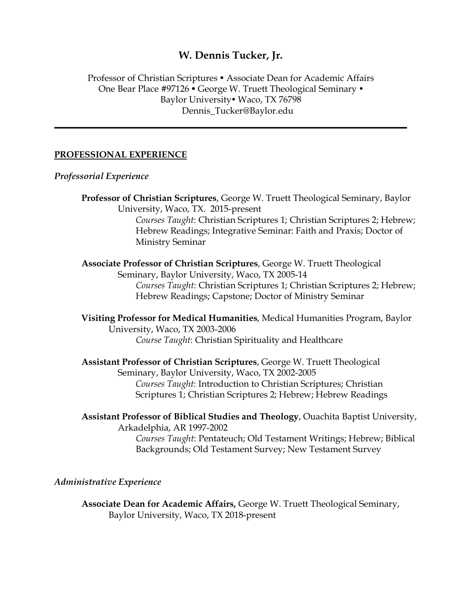# **W. Dennis Tucker, Jr.**

## Professor of Christian Scriptures • Associate Dean for Academic Affairs One Bear Place #97126 • George W. Truett Theological Seminary • Baylor University Vaco, TX 76798 Dennis\_Tucker@Baylor.edu

### **PROFESSIONAL EXPERIENCE**

*Professorial Experience*

**Professor of Christian Scriptures**, George W. Truett Theological Seminary, Baylor University, Waco, TX. 2015-present *Courses Taught*: Christian Scriptures 1; Christian Scriptures 2; Hebrew; Hebrew Readings; Integrative Seminar: Faith and Praxis; Doctor of Ministry Seminar **Associate Professor of Christian Scriptures**, George W. Truett Theological

Seminary, Baylor University, Waco, TX 2005-14 *Courses Taught*: Christian Scriptures 1; Christian Scriptures 2; Hebrew; Hebrew Readings; Capstone; Doctor of Ministry Seminar

**Visiting Professor for Medical Humanities**, Medical Humanities Program, Baylor University, Waco, TX 2003-2006 *Course Taught*: Christian Spirituality and Healthcare

**Assistant Professor of Christian Scriptures**, George W. Truett Theological Seminary, Baylor University, Waco, TX 2002-2005 *Courses Taught*: Introduction to Christian Scriptures; Christian Scriptures 1; Christian Scriptures 2; Hebrew; Hebrew Readings

**Assistant Professor of Biblical Studies and Theology**, Ouachita Baptist University, Arkadelphia, AR 1997-2002 *Courses Taught*: Pentateuch; Old Testament Writings; Hebrew; Biblical Backgrounds; Old Testament Survey; New Testament Survey

#### *Administrative Experience*

**Associate Dean for Academic Affairs,** George W. Truett Theological Seminary, Baylor University, Waco, TX 2018-present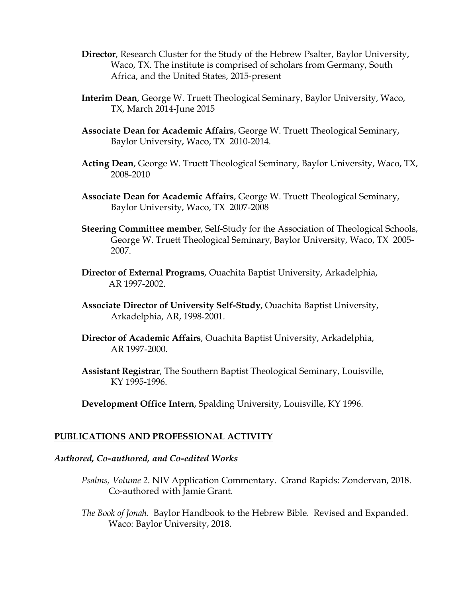- **Director**, Research Cluster for the Study of the Hebrew Psalter, Baylor University, Waco, TX. The institute is comprised of scholars from Germany, South Africa, and the United States, 2015-present
- **Interim Dean**, George W. Truett Theological Seminary, Baylor University, Waco, TX, March 2014-June 2015
- **Associate Dean for Academic Affairs**, George W. Truett Theological Seminary, Baylor University, Waco, TX 2010-2014.
- **Acting Dean**, George W. Truett Theological Seminary, Baylor University, Waco, TX, 2008-2010
- **Associate Dean for Academic Affairs**, George W. Truett Theological Seminary, Baylor University, Waco, TX 2007-2008
- **Steering Committee member**, Self-Study for the Association of Theological Schools, George W. Truett Theological Seminary, Baylor University, Waco, TX 2005- 2007.
- **Director of External Programs**, Ouachita Baptist University, Arkadelphia, AR 1997-2002.
- **Associate Director of University Self-Study**, Ouachita Baptist University, Arkadelphia, AR, 1998-2001.
- **Director of Academic Affairs**, Ouachita Baptist University, Arkadelphia, AR 1997-2000.
- **Assistant Registrar**, The Southern Baptist Theological Seminary, Louisville, KY 1995-1996.

**Development Office Intern**, Spalding University, Louisville, KY 1996.

### **PUBLICATIONS AND PROFESSIONAL ACTIVITY**

### *Authored, Co-authored, and Co-edited Works*

- *Psalms, Volume 2*. NIV Application Commentary. Grand Rapids: Zondervan, 2018. Co-authored with Jamie Grant.
- *The Book of Jonah*. Baylor Handbook to the Hebrew Bible. Revised and Expanded. Waco: Baylor University, 2018.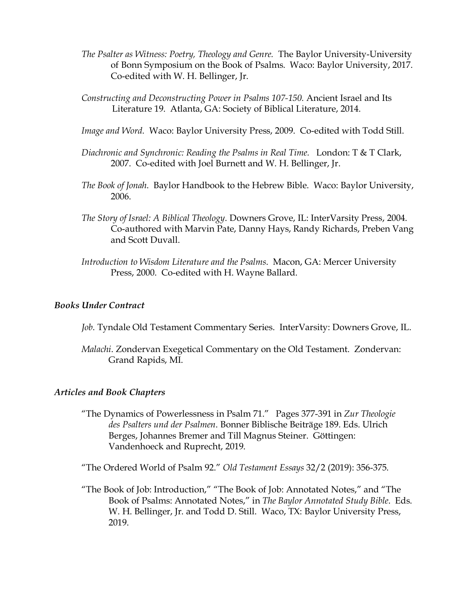- *The Psalter as Witness: Poetry, Theology and Genre.* The Baylor University-University of Bonn Symposium on the Book of Psalms. Waco: Baylor University, 2017. Co-edited with W. H. Bellinger, Jr.
- *Constructing and Deconstructing Power in Psalms 107-150.* Ancient Israel and Its Literature 19. Atlanta, GA: Society of Biblical Literature, 2014.
- *Image and Word.* Waco: Baylor University Press, 2009. Co-edited with Todd Still.
- *Diachronic and Synchronic: Reading the Psalms in Real Time.* London: T & T Clark, 2007. Co-edited with Joel Burnett and W. H. Bellinger, Jr.
- *The Book of Jonah*. Baylor Handbook to the Hebrew Bible. Waco: Baylor University, 2006.
- *The Story of Israel: A Biblical Theology*. Downers Grove, IL: InterVarsity Press, 2004. Co-authored with Marvin Pate, Danny Hays, Randy Richards, Preben Vang and Scott Duvall.
- *Introduction to Wisdom Literature and the Psalms*. Macon, GA: Mercer University Press, 2000. Co-edited with H. Wayne Ballard.

### *Books Under Contract*

- *Job*. Tyndale Old Testament Commentary Series. InterVarsity: Downers Grove, IL.
- *Malachi*. Zondervan Exegetical Commentary on the Old Testament. Zondervan: Grand Rapids, MI.

### *Articles and Book Chapters*

"The Dynamics of Powerlessness in Psalm 71." Pages 377-391 in *Zur Theologie des Psalters und der Psalmen*. Bonner Biblische Beiträge 189. Eds. Ulrich Berges, Johannes Bremer and Till Magnus Steiner. Göttingen: Vandenhoeck and Ruprecht, 2019.

"The Ordered World of Psalm 92." *Old Testament Essays* 32/2 (2019): 356-375.

"The Book of Job: Introduction," "The Book of Job: Annotated Notes," and "The Book of Psalms: Annotated Notes," in *The Baylor Annotated Study Bible*. Eds. W. H. Bellinger, Jr. and Todd D. Still. Waco, TX: Baylor University Press, 2019.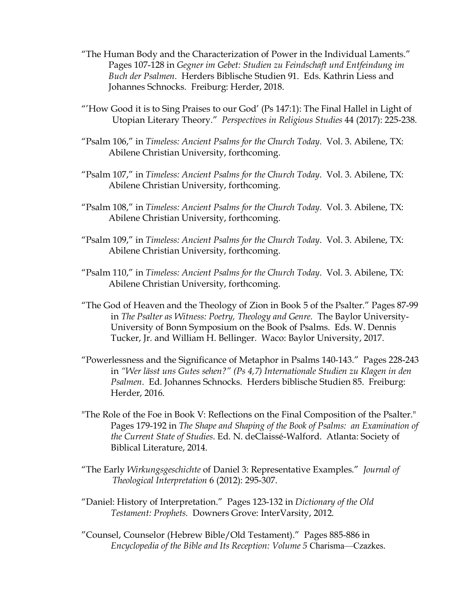- "The Human Body and the Characterization of Power in the Individual Laments." Pages 107-128 in *Gegner im Gebet: Studien zu Feindschaft und Entfeindung im Buch der Psalmen*. Herders Biblische Studien 91. Eds. Kathrin Liess and Johannes Schnocks. Freiburg: Herder, 2018.
- "'How Good it is to Sing Praises to our God' (Ps 147:1): The Final Hallel in Light of Utopian Literary Theory." *Perspectives in Religious Studies* 44 (2017): 225-238.
- "Psalm 106," in *Timeless: Ancient Psalms for the Church Today*. Vol. 3. Abilene, TX: Abilene Christian University, forthcoming.
- "Psalm 107," in *Timeless: Ancient Psalms for the Church Today*. Vol. 3. Abilene, TX: Abilene Christian University, forthcoming.
- "Psalm 108," in *Timeless: Ancient Psalms for the Church Today*. Vol. 3. Abilene, TX: Abilene Christian University, forthcoming.
- "Psalm 109," in *Timeless: Ancient Psalms for the Church Today*. Vol. 3. Abilene, TX: Abilene Christian University, forthcoming.
- "Psalm 110," in *Timeless: Ancient Psalms for the Church Today*. Vol. 3. Abilene, TX: Abilene Christian University, forthcoming.
- "The God of Heaven and the Theology of Zion in Book 5 of the Psalter." Pages 87-99 in *The Psalter as Witness: Poetry, Theology and Genre.* The Baylor University-University of Bonn Symposium on the Book of Psalms. Eds. W. Dennis Tucker, Jr. and William H. Bellinger. Waco: Baylor University, 2017.
- "Powerlessness and the Significance of Metaphor in Psalms 140-143." Pages 228-243 in *"Wer lässt uns Gutes sehen?" (Ps 4,7) Internationale Studien zu Klagen in den Psalmen*. Ed. Johannes Schnocks. Herders biblische Studien 85. Freiburg: Herder, 2016.
- "The Role of the Foe in Book V: Reflections on the Final Composition of the Psalter." Pages 179-192 in *The Shape and Shaping of the Book of Psalms: an Examination of the Current State of Studies*. Ed. N. deClaissé-Walford. Atlanta: Society of Biblical Literature, 2014.
- "The Early *Wirkungsgeschichte* of Daniel 3: Representative Examples." *Journal of Theological Interpretation* 6 (2012): 295-307.
- "Daniel: History of Interpretation." Pages 123-132 in *Dictionary of the Old Testament: Prophets.* Downers Grove: InterVarsity, 2012.
- "Counsel, Counselor (Hebrew Bible/Old Testament)." Pages 885-886 in *Encyclopedia of the Bible and Its Reception: Volume 5* Charisma—Czazkes.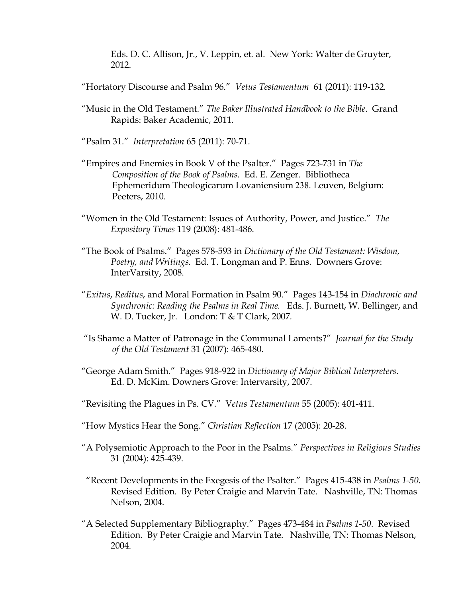Eds. D. C. Allison, Jr., V. Leppin, et. al. New York: Walter de Gruyter, 2012.

- "Hortatory Discourse and Psalm 96." *Vetus Testamentum* 61 (2011): 119-132*.*
- "Music in the Old Testament." *The Baker Illustrated Handbook to the Bible*. Grand Rapids: Baker Academic, 2011.
- "Psalm 31." *Interpretation* 65 (2011): 70-71.
- "Empires and Enemies in Book V of the Psalter." Pages 723-731 in *The Composition of the Book of Psalms.* Ed. E. Zenger. Bibliotheca Ephemeridum Theologicarum Lovaniensium 238. Leuven, Belgium: Peeters, 2010.
- "Women in the Old Testament: Issues of Authority, Power, and Justice." *The Expository Times* 119 (2008): 481-486.
- "The Book of Psalms." Pages 578-593 in *Dictionary of the Old Testament: Wisdom, Poetry, and Writings.* Ed. T. Longman and P. Enns. Downers Grove: InterVarsity, 2008.
- "*Exitus*, *Reditus*, and Moral Formation in Psalm 90." Pages 143-154 in *Diachronic and Synchronic: Reading the Psalms in Real Time.* Eds. J. Burnett, W. Bellinger, and W. D. Tucker, Jr. London: T & T Clark, 2007.
- "Is Shame a Matter of Patronage in the Communal Laments?" *Journal for the Study of the Old Testament* 31 (2007): 465-480.
- "George Adam Smith." Pages 918-922 in *Dictionary of Major Biblical Interpreters*. Ed. D. McKim. Downers Grove: Intervarsity, 2007.
- "Revisiting the Plagues in Ps. CV." V*etus Testamentum* 55 (2005): 401-411.
- "How Mystics Hear the Song." *Christian Reflection* 17 (2005): 20-28.
- "A Polysemiotic Approach to the Poor in the Psalms." *Perspectives in Religious Studies* 31 (2004): 425-439.
- "Recent Developments in the Exegesis of the Psalter." Pages 415-438 in *Psalms 1-50*. Revised Edition. By Peter Craigie and Marvin Tate. Nashville, TN: Thomas Nelson, 2004.
- "A Selected Supplementary Bibliography." Pages 473-484 in *Psalms 1-50*. Revised Edition. By Peter Craigie and Marvin Tate. Nashville, TN: Thomas Nelson, 2004.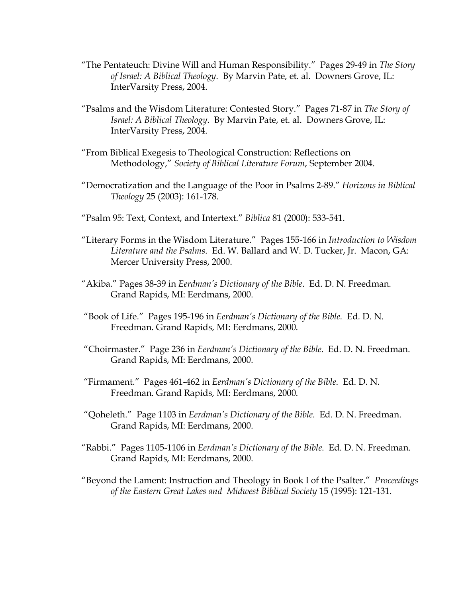- "The Pentateuch: Divine Will and Human Responsibility." Pages 29-49 in *The Story of Israel: A Biblical Theology*. By Marvin Pate, et. al. Downers Grove, IL: InterVarsity Press, 2004.
- "Psalms and the Wisdom Literature: Contested Story." Pages 71-87 in *The Story of Israel: A Biblical Theology*. By Marvin Pate, et. al. Downers Grove, IL: InterVarsity Press, 2004.
- "From Biblical Exegesis to Theological Construction: Reflections on Methodology," *Society of Biblical Literature Forum*, September 2004.
- "Democratization and the Language of the Poor in Psalms 2-89." *Horizons in Biblical Theology* 25 (2003): 161-178.
- "Psalm 95: Text, Context, and Intertext." *Biblica* 81 (2000): 533-541.
- "Literary Forms in the Wisdom Literature." Pages 155-166 in *Introduction to Wisdom Literature and the Psalms*. Ed. W. Ballard and W. D. Tucker, Jr. Macon, GA: Mercer University Press, 2000.
- "Akiba." Pages 38-39 in *Eerdman's Dictionary of the Bible*. Ed. D. N. Freedman. Grand Rapids, MI: Eerdmans, 2000.
- "Book of Life." Pages 195-196 in *Eerdman's Dictionary of the Bible*. Ed. D. N. Freedman. Grand Rapids, MI: Eerdmans, 2000.
- "Choirmaster." Page 236 in *Eerdman's Dictionary of the Bible*. Ed. D. N. Freedman. Grand Rapids, MI: Eerdmans, 2000.
- "Firmament." Pages 461-462 in *Eerdman's Dictionary of the Bible*. Ed. D. N. Freedman. Grand Rapids, MI: Eerdmans, 2000.
- "Qoheleth." Page 1103 in *Eerdman's Dictionary of the Bible*. Ed. D. N. Freedman. Grand Rapids, MI: Eerdmans, 2000.
- "Rabbi." Pages 1105-1106 in *Eerdman's Dictionary of the Bible*. Ed. D. N. Freedman. Grand Rapids, MI: Eerdmans, 2000.
- "Beyond the Lament: Instruction and Theology in Book I of the Psalter." *Proceedings of the Eastern Great Lakes and Midwest Biblical Society* 15 (1995): 121-131.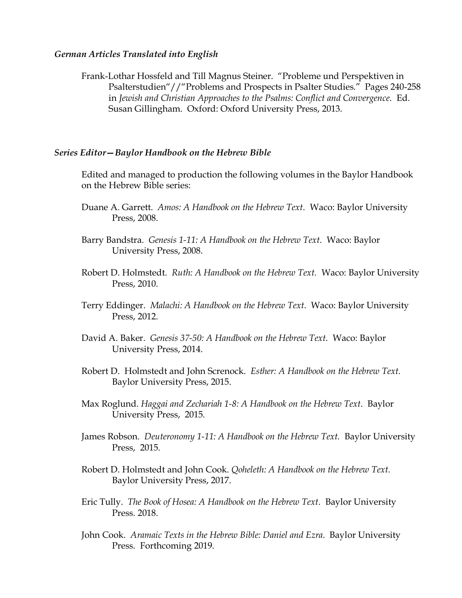#### *German Articles Translated into English*

Frank-Lothar Hossfeld and Till Magnus Steiner. "Probleme und Perspektiven in Psalterstudien"//"Problems and Prospects in Psalter Studies." Pages 240-258 in *Jewish and Christian Approaches to the Psalms: Conflict and Convergence*. Ed. Susan Gillingham. Oxford: Oxford University Press, 2013.

#### *Series Editor—Baylor Handbook on the Hebrew Bible*

Edited and managed to production the following volumes in the Baylor Handbook on the Hebrew Bible series:

- Duane A. Garrett. *Amos: A Handbook on the Hebrew Text*. Waco: Baylor University Press, 2008.
- Barry Bandstra. *Genesis 1-11: A Handbook on the Hebrew Text*. Waco: Baylor University Press, 2008.
- Robert D. Holmstedt. *Ruth: A Handbook on the Hebrew Text.* Waco: Baylor University Press, 2010.
- Terry Eddinger. *Malachi: A Handbook on the Hebrew Text*. Waco: Baylor University Press, 2012.
- David A. Baker. *Genesis 37-50: A Handbook on the Hebrew Text*. Waco: Baylor University Press, 2014.
- Robert D. Holmstedt and John Screnock. *Esther: A Handbook on the Hebrew Text.* Baylor University Press, 2015.
- Max Roglund. *Haggai and Zechariah 1-8: A Handbook on the Hebrew Text*. Baylor University Press, 2015.
- James Robson. *Deuteronomy 1-11: A Handbook on the Hebrew Text.* Baylor University Press, 2015.
- Robert D. Holmstedt and John Cook. *Qoheleth: A Handbook on the Hebrew Text.* Baylor University Press, 2017.
- Eric Tully. *The Book of Hosea: A Handbook on the Hebrew Text*. Baylor University Press. 2018.
- John Cook. *Aramaic Texts in the Hebrew Bible: Daniel and Ezra*. Baylor University Press. Forthcoming 2019.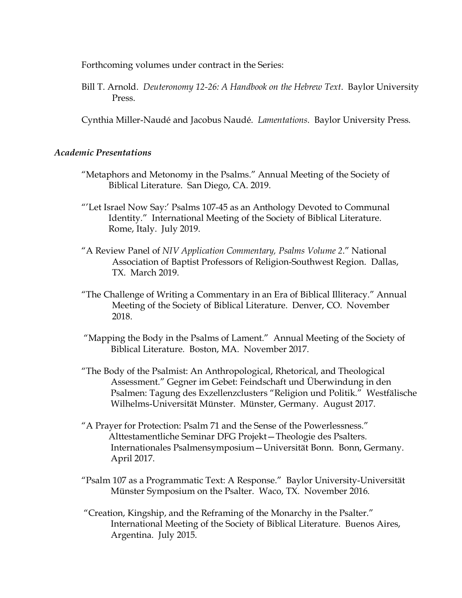Forthcoming volumes under contract in the Series:

Bill T. Arnold. *Deuteronomy 12-26: A Handbook on the Hebrew Text*. Baylor University Press.

Cynthia Miller-Naudé and Jacobus Naudé. *Lamentations*. Baylor University Press.

#### *Academic Presentations*

- "Metaphors and Metonomy in the Psalms." Annual Meeting of the Society of Biblical Literature. San Diego, CA. 2019.
- "'Let Israel Now Say:' Psalms 107-45 as an Anthology Devoted to Communal Identity." International Meeting of the Society of Biblical Literature. Rome, Italy. July 2019.
- "A Review Panel of *NIV Application Commentary, Psalms Volume 2*." National Association of Baptist Professors of Religion-Southwest Region. Dallas, TX. March 2019.
- "The Challenge of Writing a Commentary in an Era of Biblical Illiteracy." Annual Meeting of the Society of Biblical Literature. Denver, CO. November 2018.
- "Mapping the Body in the Psalms of Lament." Annual Meeting of the Society of Biblical Literature*.* Boston, MA. November 2017.
- "The Body of the Psalmist: An Anthropological, Rhetorical, and Theological Assessment." Gegner im Gebet: Feindschaft und Überwindung in den Psalmen: Tagung des Exzellenzclusters "Religion und Politik." Westfälische Wilhelms-Universität Münster. Münster, Germany. August 2017.
- "A Prayer for Protection: Psalm 71 and the Sense of the Powerlessness." Alttestamentliche Seminar DFG Projekt—Theologie des Psalters. Internationales Psalmensymposium—Universität Bonn. Bonn, Germany. April 2017.
- "Psalm 107 as a Programmatic Text: A Response." Baylor University-Universität Münster Symposium on the Psalter. Waco, TX. November 2016.
- "Creation, Kingship, and the Reframing of the Monarchy in the Psalter." International Meeting of the Society of Biblical Literature. Buenos Aires, Argentina. July 2015.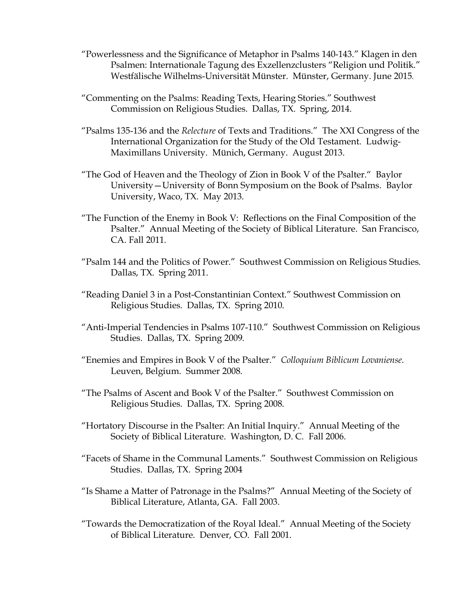- "Powerlessness and the Significance of Metaphor in Psalms 140-143." Klagen in den Psalmen: Internationale Tagung des Exzellenzclusters "Religion und Politik." Westfälische Wilhelms-Universität Münster. Münster, Germany. June 2015.
- "Commenting on the Psalms: Reading Texts, Hearing Stories." Southwest Commission on Religious Studies. Dallas, TX. Spring, 2014.
- "Psalms 135-136 and the *Relecture* of Texts and Traditions." The XXI Congress of the International Organization for the Study of the Old Testament. Ludwig-Maximillans University. Münich, Germany. August 2013.
- "The God of Heaven and the Theology of Zion in Book V of the Psalter." Baylor University—University of Bonn Symposium on the Book of Psalms. Baylor University, Waco, TX. May 2013.
- "The Function of the Enemy in Book V: Reflections on the Final Composition of the Psalter." Annual Meeting of the Society of Biblical Literature. San Francisco, CA. Fall 2011.
- "Psalm 144 and the Politics of Power." Southwest Commission on Religious Studies. Dallas, TX. Spring 2011.
- "Reading Daniel 3 in a Post-Constantinian Context." Southwest Commission on Religious Studies. Dallas, TX. Spring 2010.
- "Anti-Imperial Tendencies in Psalms 107-110." Southwest Commission on Religious Studies. Dallas, TX. Spring 2009.
- "Enemies and Empires in Book V of the Psalter." *Colloquium Biblicum Lovaniense*. Leuven, Belgium. Summer 2008.
- "The Psalms of Ascent and Book V of the Psalter." Southwest Commission on Religious Studies. Dallas, TX. Spring 2008.
- "Hortatory Discourse in the Psalter: An Initial Inquiry." Annual Meeting of the Society of Biblical Literature. Washington, D. C. Fall 2006.
- "Facets of Shame in the Communal Laments." Southwest Commission on Religious Studies. Dallas, TX. Spring 2004
- "Is Shame a Matter of Patronage in the Psalms?" Annual Meeting of the Society of Biblical Literature, Atlanta, GA. Fall 2003.
- "Towards the Democratization of the Royal Ideal." Annual Meeting of the Society of Biblical Literature. Denver, CO. Fall 2001.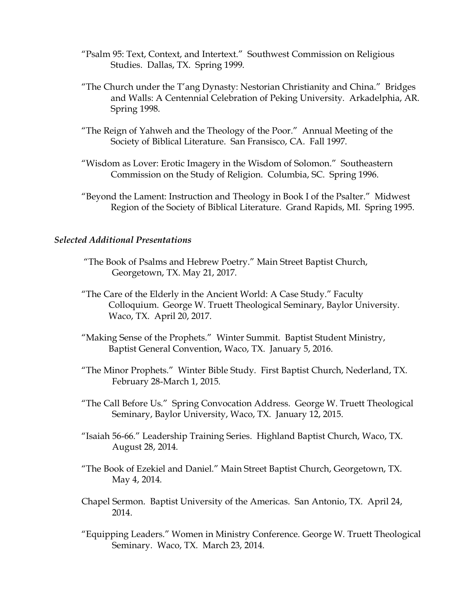- "Psalm 95: Text, Context, and Intertext." Southwest Commission on Religious Studies. Dallas, TX. Spring 1999.
- "The Church under the T'ang Dynasty: Nestorian Christianity and China." Bridges and Walls: A Centennial Celebration of Peking University. Arkadelphia, AR. Spring 1998.
- "The Reign of Yahweh and the Theology of the Poor." Annual Meeting of the Society of Biblical Literature. San Fransisco, CA. Fall 1997.
- "Wisdom as Lover: Erotic Imagery in the Wisdom of Solomon." Southeastern Commission on the Study of Religion. Columbia, SC. Spring 1996.
- "Beyond the Lament: Instruction and Theology in Book I of the Psalter." Midwest Region of the Society of Biblical Literature. Grand Rapids, MI. Spring 1995.

#### *Selected Additional Presentations*

- "The Book of Psalms and Hebrew Poetry." Main Street Baptist Church, Georgetown, TX. May 21, 2017.
- "The Care of the Elderly in the Ancient World: A Case Study." Faculty Colloquium. George W. Truett Theological Seminary, Baylor University. Waco, TX. April 20, 2017.
- "Making Sense of the Prophets." Winter Summit. Baptist Student Ministry, Baptist General Convention, Waco, TX. January 5, 2016.
- "The Minor Prophets." Winter Bible Study. First Baptist Church, Nederland, TX. February 28-March 1, 2015.
- "The Call Before Us." Spring Convocation Address. George W. Truett Theological Seminary, Baylor University, Waco, TX. January 12, 2015.
- "Isaiah 56-66." Leadership Training Series. Highland Baptist Church, Waco, TX. August 28, 2014.
- "The Book of Ezekiel and Daniel." Main Street Baptist Church, Georgetown, TX. May 4, 2014.
- Chapel Sermon. Baptist University of the Americas. San Antonio, TX. April 24, 2014.
- "Equipping Leaders." Women in Ministry Conference. George W. Truett Theological Seminary. Waco, TX. March 23, 2014.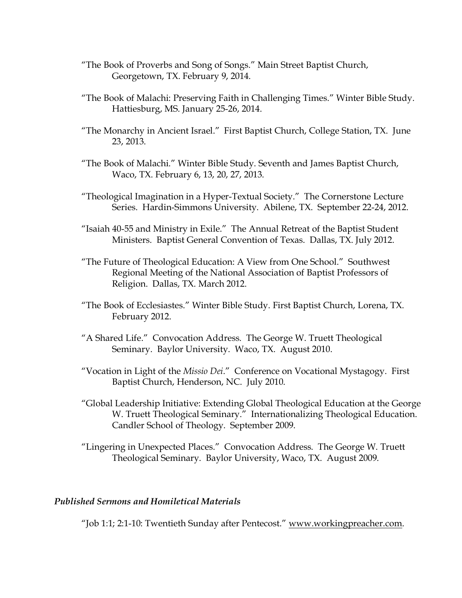- "The Book of Proverbs and Song of Songs." Main Street Baptist Church, Georgetown, TX. February 9, 2014.
- "The Book of Malachi: Preserving Faith in Challenging Times." Winter Bible Study. Hattiesburg, MS. January 25-26, 2014.
- "The Monarchy in Ancient Israel." First Baptist Church, College Station, TX. June 23, 2013.
- "The Book of Malachi." Winter Bible Study. Seventh and James Baptist Church, Waco, TX. February 6, 13, 20, 27, 2013.
- "Theological Imagination in a Hyper-Textual Society." The Cornerstone Lecture Series. Hardin-Simmons University. Abilene, TX. September 22-24, 2012.
- "Isaiah 40-55 and Ministry in Exile." The Annual Retreat of the Baptist Student Ministers. Baptist General Convention of Texas. Dallas, TX. July 2012.
- "The Future of Theological Education: A View from One School." Southwest Regional Meeting of the National Association of Baptist Professors of Religion. Dallas, TX. March 2012.
- "The Book of Ecclesiastes." Winter Bible Study. First Baptist Church, Lorena, TX. February 2012.
- "A Shared Life." Convocation Address. The George W. Truett Theological Seminary. Baylor University. Waco, TX. August 2010.
- "Vocation in Light of the *Missio Dei*." Conference on Vocational Mystagogy. First Baptist Church, Henderson, NC. July 2010.
- "Global Leadership Initiative: Extending Global Theological Education at the George W. Truett Theological Seminary." Internationalizing Theological Education. Candler School of Theology. September 2009.
- "Lingering in Unexpected Places." Convocation Address. The George W. Truett Theological Seminary. Baylor University, Waco, TX. August 2009.

### *Published Sermons and Homiletical Materials*

"Job 1:1; 2:1-10: Twentieth Sunday after Pentecost." www.workingpreacher.com.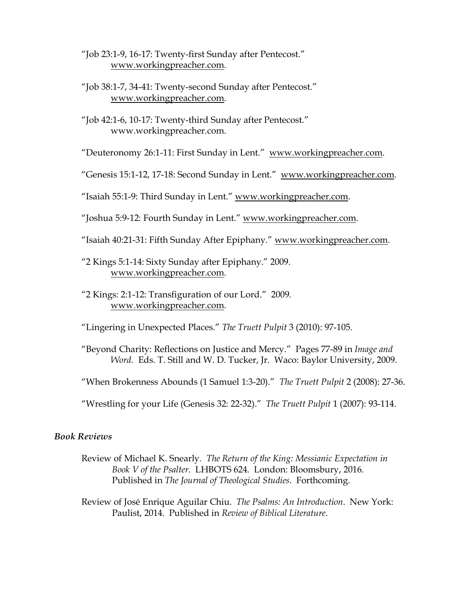"Job 23:1-9, 16-17: Twenty-first Sunday after Pentecost." www.workingpreacher.com.

- "Job 38:1-7, 34-41: Twenty-second Sunday after Pentecost." www.workingpreacher.com.
- "Job 42:1-6, 10-17: Twenty-third Sunday after Pentecost." www.workingpreacher.com.

"Deuteronomy 26:1-11: First Sunday in Lent." www.workingpreacher.com.

"Genesis 15:1-12, 17-18: Second Sunday in Lent." www.workingpreacher.com.

"Isaiah 55:1-9: Third Sunday in Lent." www.workingpreacher.com.

"Joshua 5:9-12: Fourth Sunday in Lent." www.workingpreacher.com.

"Isaiah 40:21-31: Fifth Sunday After Epiphany." www.workingpreacher.com.

- "2 Kings 5:1-14: Sixty Sunday after Epiphany." 2009. www.workingpreacher.com.
- "2 Kings: 2:1-12: Transfiguration of our Lord." 2009. www.workingpreacher.com.

"Lingering in Unexpected Places." *The Truett Pulpit* 3 (2010): 97-105.

"Beyond Charity: Reflections on Justice and Mercy." Pages 77-89 in *Image and Word*. Eds. T. Still and W. D. Tucker, Jr. Waco: Baylor University, 2009.

"When Brokenness Abounds (1 Samuel 1:3-20)." *The Truett Pulpit* 2 (2008): 27-36.

"Wrestling for your Life (Genesis 32: 22-32)." *The Truett Pulpit* 1 (2007): 93-114.

### *Book Reviews*

Review of Michael K. Snearly*. The Return of the King: Messianic Expectation in Book V of the Psalter*. LHBOTS 624. London: Bloomsbury, 2016. Published in *The Journal of Theological Studies*. Forthcoming.

Review of José Enrique Aguilar Chiu. *The Psalms: An Introduction*. New York: Paulist, 2014. Published in *Review of Biblical Literature*.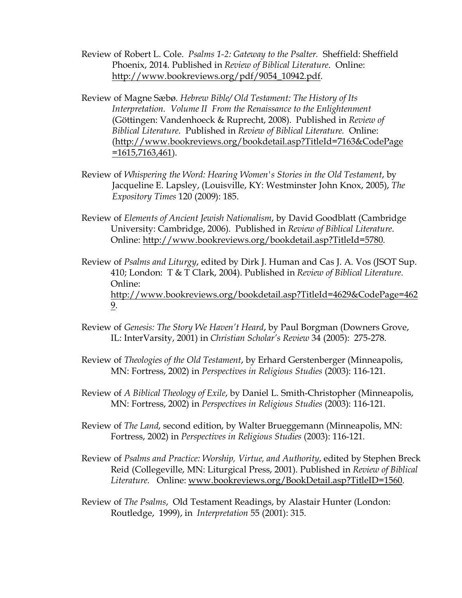- Review of Robert L. Cole. *Psalms 1-2: Gateway to the Psalter.* Sheffield: Sheffield Phoenix, 2014. Published in *Review of Biblical Literature*. Online: http://www.bookreviews.org/pdf/9054\_10942.pdf.
- Review of Magne Sæbø. *Hebrew Bible/ Old Testament: The History of Its Interpretation. Volume II From the Renaissance to the Enlightenment* (Göttingen: Vandenhoeck & Ruprecht, 2008). Published in *Review of Biblical Literature*. Published in *Review of Biblical Literature.* Online: (http://www.bookreviews.org/bookdetail.asp?TitleId=7163&CodePage =1615,7163,461).
- Review of *Whispering the Word: Hearing Women's Stories in the Old Testament*, by Jacqueline E. Lapsley, (Louisville, KY: Westminster John Knox, 2005), *The Expository Times* 120 (2009): 185.
- Review of *Elements of Ancient Jewish Nationalism*, by David Goodblatt (Cambridge University: Cambridge, 2006). Published in *Review of Biblical Literature*. Online: http://www.bookreviews.org/bookdetail.asp?TitleId=5780.
- Review of *Psalms and Liturgy*, edited by Dirk J. Human and Cas J. A. Vos (JSOT Sup. 410; London: T & T Clark, 2004). Published in *Review of Biblical Literature*. Online: http://www.bookreviews.org/bookdetail.asp?TitleId=4629&CodePage=462 9.
- Review of *Genesis: The Story We Haven't Heard*, by Paul Borgman (Downers Grove, IL: InterVarsity, 2001) in *Christian Scholar's Review* 34 (2005): 275-278.
- Review of *Theologies of the Old Testament*, by Erhard Gerstenberger (Minneapolis, MN: Fortress, 2002) in *Perspectives in Religious Studies* (2003): 116-121.
- Review of *A Biblical Theology of Exile*, by Daniel L. Smith-Christopher (Minneapolis, MN: Fortress, 2002) in *Perspectives in Religious Studies* (2003): 116-121*.*
- Review of *The Land*, second edition, by Walter Brueggemann (Minneapolis, MN: Fortress, 2002) in *Perspectives in Religious Studies* (2003): 116-121*.*
- Review of *Psalms and Practice: Worship, Virtue, and Authority*, edited by Stephen Breck Reid (Collegeville, MN: Liturgical Press, 2001). Published in *Review of Biblical Literature.* Online: www.bookreviews.org/BookDetail.asp?TitleID=1560.
- Review of *The Psalms*, Old Testament Readings, by Alastair Hunter (London: Routledge, 1999), in *Interpretation* 55 (2001): 315.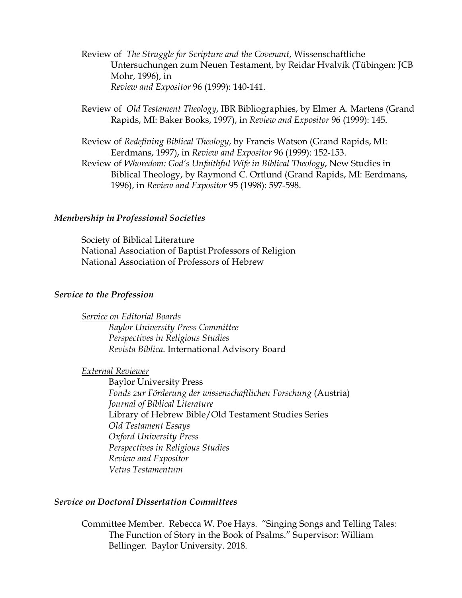- Review of *The Struggle for Scripture and the Covenant*, Wissenschaftliche Untersuchungen zum Neuen Testament, by Reidar Hvalvik (Tübingen: JCB Mohr, 1996), in *Review and Expositor* 96 (1999): 140-141.
- Review of *Old Testament Theology*, IBR Bibliographies, by Elmer A. Martens (Grand Rapids, MI: Baker Books, 1997), in *Review and Expositor* 96 (1999): 145.

Review of *Redefining Biblical Theology*, by Francis Watson (Grand Rapids, MI: Eerdmans, 1997), in *Review and Expositor* 96 (1999): 152-153. Review of *Whoredom: God's Unfaithful Wife in Biblical Theology*, New Studies in Biblical Theology, by Raymond C. Ortlund (Grand Rapids, MI: Eerdmans, 1996), in *Review and Expositor* 95 (1998): 597-598.

#### *Membership in Professional Societies*

Society of Biblical Literature National Association of Baptist Professors of Religion National Association of Professors of Hebrew

#### *Service to the Profession*

*Service on Editorial Boards*

*Baylor University Press Committee Perspectives in Religious Studies Revista Bíblica*. International Advisory Board

### *External Reviewer*

Baylor University Press *Fonds zur Förderung der wissenschaftlichen Forschung* (Austria) *Journal of Biblical Literature* Library of Hebrew Bible/Old Testament Studies Series *Old Testament Essays Oxford University Press Perspectives in Religious Studies Review and Expositor Vetus Testamentum*

### *Service on Doctoral Dissertation Committees*

Committee Member. Rebecca W. Poe Hays. "Singing Songs and Telling Tales: The Function of Story in the Book of Psalms." Supervisor: William Bellinger. Baylor University. 2018.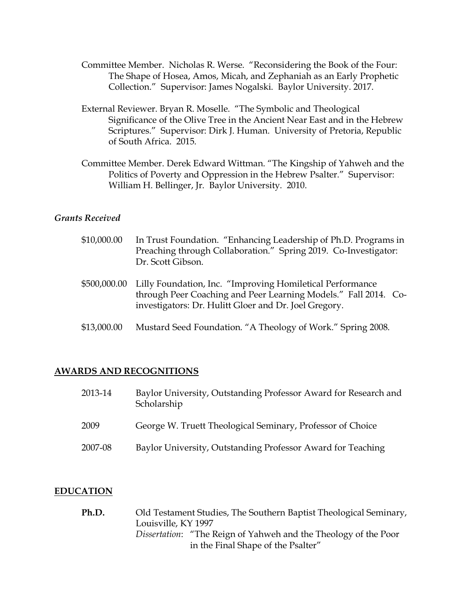- Committee Member. Nicholas R. Werse. "Reconsidering the Book of the Four: The Shape of Hosea, Amos, Micah, and Zephaniah as an Early Prophetic Collection." Supervisor: James Nogalski. Baylor University. 2017.
- External Reviewer. Bryan R. Moselle. "The Symbolic and Theological Significance of the Olive Tree in the Ancient Near East and in the Hebrew Scriptures." Supervisor: Dirk J. Human. University of Pretoria, Republic of South Africa. 2015.
- Committee Member. Derek Edward Wittman. "The Kingship of Yahweh and the Politics of Poverty and Oppression in the Hebrew Psalter." Supervisor: William H. Bellinger, Jr. Baylor University. 2010.

### *Grants Received*

- \$10,000.00 In Trust Foundation. "Enhancing Leadership of Ph.D. Programs in Preaching through Collaboration." Spring 2019. Co-Investigator: Dr. Scott Gibson.
- \$500,000.00 Lilly Foundation, Inc. "Improving Homiletical Performance through Peer Coaching and Peer Learning Models." Fall 2014. Coinvestigators: Dr. Hulitt Gloer and Dr. Joel Gregory.
- \$13,000.00 Mustard Seed Foundation. "A Theology of Work." Spring 2008.

### **AWARDS AND RECOGNITIONS**

| 2013-14 | Baylor University, Outstanding Professor Award for Research and<br>Scholarship |
|---------|--------------------------------------------------------------------------------|
| 2009    | George W. Truett Theological Seminary, Professor of Choice                     |
| 2007-08 | Baylor University, Outstanding Professor Award for Teaching                    |

### **EDUCATION**

**Ph.D.** Old Testament Studies, The Southern Baptist Theological Seminary, Louisville, KY 1997 *Dissertation*: "The Reign of Yahweh and the Theology of the Poor in the Final Shape of the Psalter"